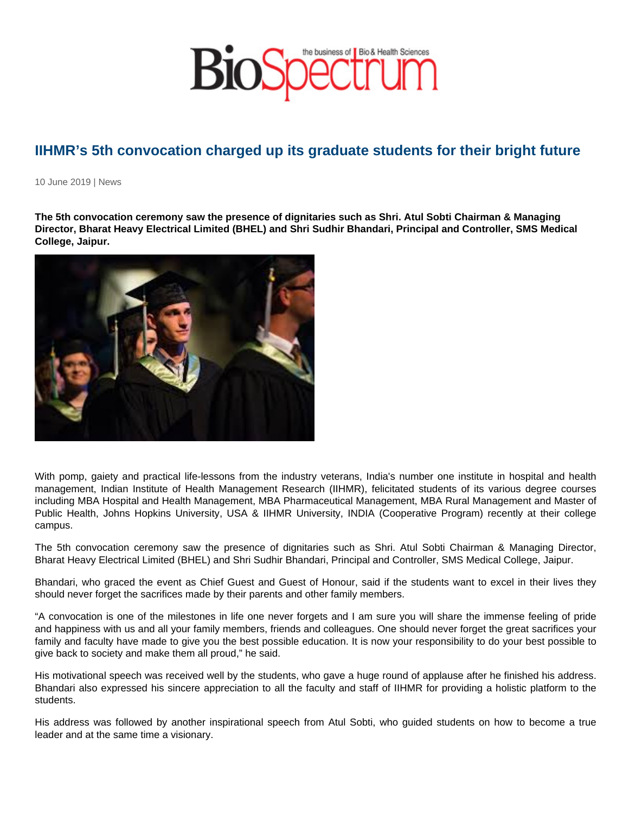## IIHMR's 5th convocation charged up its graduate students for their bright future

10 June 2019 | News

The 5th convocation ceremony saw the presence of dignitaries such as Shri. Atul Sobti Chairman & Managing Director, Bharat Heavy Electrical Limited (BHEL) and Shri Sudhir Bhandari, Principal and Controller, SMS Medical College, Jaipur.

With pomp, gaiety and practical life-lessons from the industry veterans, India's number one institute in hospital and health management, Indian Institute of Health Management Research (IIHMR), felicitated students of its various degree courses including MBA Hospital and Health Management, MBA Pharmaceutical Management, MBA Rural Management and Master of Public Health, Johns Hopkins University, USA & IIHMR University, INDIA (Cooperative Program) recently at their college campus.

The 5th convocation ceremony saw the presence of dignitaries such as Shri. Atul Sobti Chairman & Managing Director, Bharat Heavy Electrical Limited (BHEL) and Shri Sudhir Bhandari, Principal and Controller, SMS Medical College, Jaipur.

Bhandari, who graced the event as Chief Guest and Guest of Honour, said if the students want to excel in their lives they should never forget the sacrifices made by their parents and other family members.

"A convocation is one of the milestones in life one never forgets and I am sure you will share the immense feeling of pride and happiness with us and all your family members, friends and colleagues. One should never forget the great sacrifices your family and faculty have made to give you the best possible education. It is now your responsibility to do your best possible to give back to society and make them all proud," he said.

His motivational speech was received well by the students, who gave a huge round of applause after he finished his address. Bhandari also expressed his sincere appreciation to all the faculty and staff of IIHMR for providing a holistic platform to the students.

His address was followed by another inspirational speech from Atul Sobti, who guided students on how to become a true leader and at the same time a visionary.